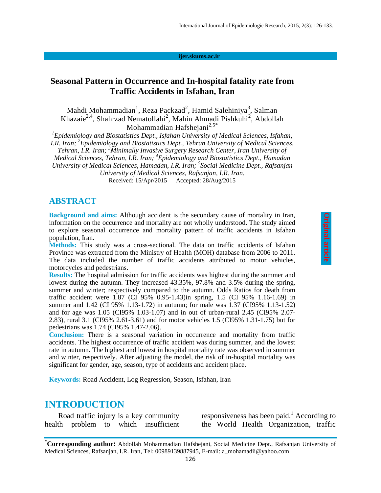#### **ijer.skums.ac.ir**

### **Seasonal Pattern in Occurrence and In-hospital fatality rate from Traffic Accidents in Isfahan, Iran**

Mahdi Mohammadian<sup>1</sup>, Reza Packzad<sup>2</sup>, Hamid Salehiniya<sup>3</sup>, Salman Khazaie<sup>2,4</sup>, Shahrzad Nematollahi<sup>2</sup>, Mahin Ahmadi Pishkuhi<sup>2</sup>, Abdollah Mohammadian Hafsheiani $^{2,5*}$ 

*<sup>1</sup>Epidemiology and Biostatistics Dept., Isfahan University of Medical Sciences, Isfahan, I.R. Iran; <sup>2</sup>Epidemiology and Biostatistics Dept., Tehran University of Medical Sciences, Tehran, I.R. Iran; <sup>3</sup>Minimally Invasive Surgery Research Center, Iran University of Medical Sciences, Tehran, I.R. Iran; <sup>4</sup>Epidemiology and Biostatistics Dept., Hamadan* 

*University of Medical Sciences, Hamadan, I.R. Iran; 5 Social Medicine Dept., Rafsanjan University of Medical Sciences, Rafsanjan, I.R. Iran.*

Received: 15/Apr/2015 Accepted: 28/Aug/2015

#### **ABSTRACT**

**Background and aims:** Although accident is the secondary cause of mortality in Iran, information on the occurrence and mortality are not wholly understood. The study aimed to explore seasonal occurrence and mortality pattern of traffic accidents in Isfahan population, Iran.

**Methods:** This study was a cross-sectional. The data on traffic accidents of Isfahan Province was extracted from the Ministry of Health (MOH) database from 2006 to 2011. The data included the number of traffic accidents attributed to motor vehicles, motorcycles and pedestrians.

**Results:** The hospital admission for traffic accidents was highest during the summer and lowest during the autumn. They increased 43.35%, 97.8% and 3.5% during the spring, summer and winter; respectively compared to the autumn. Odds Ratios for death from traffic accident were 1.87 (CI 95% 0.95-1.43)in spring, 1.5 (CI 95% 1.16-1.69) in summer and 1.42 (CI 95% 1.13-1.72) in autumn; for male was 1.37 (CI95% 1.13-1.52) and for age was 1.05 (CI95% 1.03-1.07) and in out of urban-rural 2.45 (CI95% 2.07- 2.83), rural 3.1 (CI95% 2.61-3.61) and for motor vehicles 1.5 (CI95% 1.31-1.75) but for pedestrians was 1.74 (CI95% 1.47-2.06).

**Conclusion:** There is a seasonal variation in occurrence and mortality from traffic accidents. The highest occurrence of traffic accident was during summer, and the lowest rate in autumn. The highest and lowest in hospital mortality rate was observed in summer and winter, respectively. After adjusting the model, the risk of in-hospital mortality was significant for gender, age, season, type of accidents and accident place.

**Keywords:** Road Accident, Log Regression, Season, Isfahan, Iran

### **INTRODUCTION**

Road traffic injury is a key community health problem to which insufficient responsiveness has been paid.<sup>1</sup> According to the World Health Organization, traffic

**<sup>\*</sup>Corresponding author:** Abdollah Mohammadian Hafshejani, Social Medicine Dept., Rafsanjan University of Medical Sciences, Rafsanjan, I.R. Iran, Tel: 00989139887945, E-mail: a\_mohamadii@yahoo.com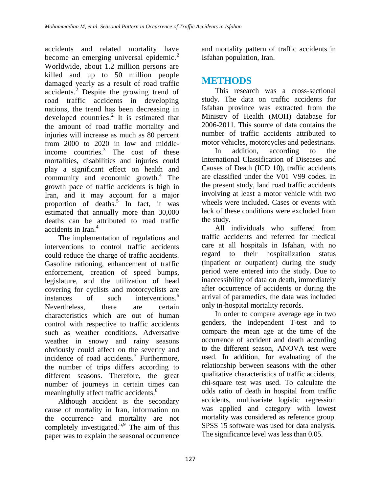accidents and related mortality have become an emerging universal epidemic.<sup>2</sup> Worldwide, about 1.2 million persons are killed and up to 50 million people damaged yearly as a result of road traffic accidents.<sup>2</sup> Despite the growing trend of road traffic accidents in developing nations, the trend has been decreasing in developed countries. $2$  It is estimated that the amount of road traffic mortality and injuries will increase as much as 80 percent from 2000 to 2020 in low and middleincome countries.<sup>3</sup> The cost of these mortalities, disabilities and injuries could play a significant effect on health and community and economic growth. $4$  The growth pace of traffic accidents is high in Iran, and it may account for a major proportion of deaths.<sup>5</sup> In fact, it was estimated that annually more than 30,000 deaths can be attributed to road traffic accidents in Iran.<sup>4</sup>

The implementation of regulations and interventions to control traffic accidents could reduce the charge of traffic accidents. Gasoline rationing, enhancement of traffic enforcement, creation of speed bumps, legislature, and the utilization of head covering for cyclists and motorcyclists are instances of such interventions. 6 Nevertheless, there are certain characteristics which are out of human control with respective to traffic accidents such as weather conditions. Adversative weather in snowy and rainy seasons obviously could affect on the severity and incidence of road accidents.<sup>7</sup> Furthermore, the number of trips differs according to different seasons. Therefore, the great number of journeys in certain times can meaningfully affect traffic accidents.<sup>8</sup>

Although accident is the secondary cause of mortality in Iran, information on the occurrence and mortality are not completely investigated.<sup>5,9</sup> The aim of this paper was to explain the seasonal occurrence

and mortality pattern of traffic accidents in Isfahan population, Iran.

## **METHODS**

This research was a cross-sectional study. The data on traffic accidents for Isfahan province was extracted from the Ministry of Health (MOH) database for 2006-2011. This source of data contains the number of traffic accidents attributed to motor vehicles, motorcycles and pedestrians.

In addition, according to the International Classification of Diseases and Causes of Death (ICD 10), traffic accidents are classified under the V01–V99 codes. In the present study, land road traffic accidents involving at least a motor vehicle with two wheels were included. Cases or events with lack of these conditions were excluded from the study.

All individuals who suffered from traffic accidents and referred for medical care at all hospitals in Isfahan, with no regard to their hospitalization status (inpatient or outpatient) during the study period were entered into the study. Due to inaccessibility of data on death, immediately after occurrence of accidents or during the arrival of paramedics, the data was included only in-hospital mortality records.

In order to compare average age in two genders, the independent T-test and to compare the mean age at the time of the occurrence of accident and death according to the different season, ANOVA test were used. In addition, for evaluating of the relationship between seasons with the other qualitative characteristics of traffic accidents, chi-square test was used. To calculate the odds ratio of death in hospital from traffic accidents, multivariate logistic regression was applied and category with lowest mortality was considered as reference group. SPSS 15 software was used for data analysis. The significance level was less than 0.05.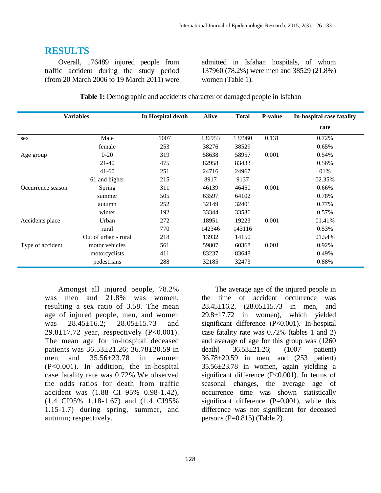### **RESULTS**

Overall, 176489 injured people from traffic accident during the study period (from 20 March 2006 to 19 March 2011) were admitted in Isfahan hospitals, of whom 137960 (78.2%) were men and 38529 (21.8%) women (Table 1).

| <b>Variables</b>  |                      | In Hospital death | <b>Alive</b> | <b>Total</b> | <b>P-value</b> | In-hospital case fatality |  |
|-------------------|----------------------|-------------------|--------------|--------------|----------------|---------------------------|--|
|                   |                      |                   |              |              |                | rate                      |  |
| sex               | Male                 | 1007              | 136953       | 137960       | 0.131          | 0.72%                     |  |
|                   | female               | 253               | 38276        | 38529        |                | 0.65%                     |  |
| Age group         | $0 - 20$             | 319               | 58638        | 58957        | 0.001          | 0.54%                     |  |
|                   | $21 - 40$            | 475               | 82958        | 83433        |                | 0.56%                     |  |
|                   | $41 - 60$            | 251               | 24716        | 24967        |                | 01%                       |  |
|                   | 61 and higher        | 215               | 8917         | 9137         |                | 02.35%                    |  |
| Occurrence season | Spring               | 311               | 46139        | 46450        | 0.001          | 0.66%                     |  |
|                   | summer               | 505               | 63597        | 64102        |                | 0.78%                     |  |
|                   | autumn               | 252               | 32149        | 32401        |                | 0.77%                     |  |
|                   | winter               | 192               | 33344        | 33536        |                | 0.57%                     |  |
| Accidents place   | Urban                | 272               | 18951        | 19223        | 0.001          | 01.41%                    |  |
|                   | rural                | 770               | 142346       | 143116       |                | 0.53%                     |  |
|                   | Out of urban - rural | 218               | 13932        | 14150        |                | 01.54%                    |  |
| Type of accident  | motor vehicles       | 561               | 59807        | 60368        | 0.001          | 0.92%                     |  |
|                   | motorcyclists        | 411               | 83237        | 83648        |                | 0.49%                     |  |
|                   | pedestrians          | 288               | 32185        | 32473        |                | 0.88%                     |  |

Amongst all injured people, 78.2% was men and 21.8% was women, resulting a sex ratio of 3.58. The mean age of injured people, men, and women was 28.45±16.2; 28.05±15.73 and 29.8 $\pm$ 17.72 year, respectively (P<0.001). The mean age for in-hospital deceased patients was 36.53±21.26; 36.78±20.59 in men and 35.56±23.78 in women (P<0.001). In addition, the in-hospital case fatality rate was 0.72%.We observed the odds ratios for death from traffic accident was (1.88 CI 95% 0.98-1.42), (1.4 CI95% 1.18-1.67) and (1.4 CI95% 1.15-1.7) during spring, summer, and autumn; respectively.

The average age of the injured people in the time of accident occurrence was 28.45±16.2, (28.05±15.73 in men, and 29.8±17.72 in women), which yielded significant difference (P<0.001). In-hospital case fatality rate was 0.72% (tables 1 and 2) and average of age for this group was (1260 death) 36.53±21.26; (1007 patient) 36.78±20.59 in men, and (253 patient) 35.56±23.78 in women, again yielding a significant difference (P<0.001). In terms of seasonal changes, the average age of occurrence time was shown statistically significant difference  $(P=0.001)$ , while this difference was not significant for deceased persons  $(P=0.815)$  (Table 2).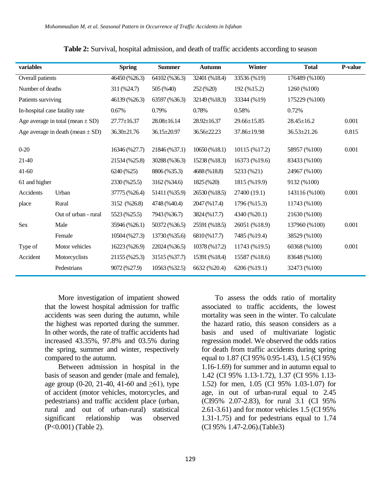| variables                            |                                | <b>Spring</b>     | <b>Summer</b>     | <b>Autumn</b>     | <b>Winter</b>     | <b>Total</b>     | <b>P-value</b> |
|--------------------------------------|--------------------------------|-------------------|-------------------|-------------------|-------------------|------------------|----------------|
| Overall patients                     |                                | 46450 (%26.3)     | 64102 (%36.3)     | 32401 (%18.4)     | 33536 (%19)       | 176489 (%100)    |                |
| Number of deaths                     |                                | 311 (%24.7)       | 505 (%40)         | 252 (%20)         | 192 (%15.2)       | 1260 (%100)      |                |
| Patients surviving                   |                                | 46139 (%26.3)     | 63597 (%36.3)     | 32149 (%18.3)     | 33344 (%19)       | 175229 (%100)    |                |
|                                      | In-hospital case fatality rate | 0.67%             | 0.79%             | 0.78%             | 0.58%             | 0.72%            |                |
| Age average in total (mean $\pm$ SD) |                                | $27.77 \pm 16.37$ | $28.08 \pm 16.14$ | $28.92 \pm 16.37$ | $29.66 \pm 15.85$ | $28.45 \pm 16.2$ | 0.001          |
| Age average in death (mean $\pm$ SD) |                                | 36.30±21.76       | $36.15 \pm 20.97$ | $36.56 \pm 22.23$ | 37.86±19.98       | 36.53±21.26      | 0.815          |
|                                      |                                |                   |                   |                   |                   |                  |                |
| $0 - 20$                             |                                | 16346 (%27.7)     | 21846 (%37.1)     | 10650(%18.1)      | 10115 (%17.2)     | 58957 (%100)     | 0.001          |
| 21-40                                |                                | 21534 (%25.8)     | 30288 (%36.3)     | 15238 (%18.3)     | 16373 (%19.6)     | 83433 (%100)     |                |
| $41-60$                              |                                | 6240 (%25)        | 8806 (%35.3)      | 4688 (%18.8)      | 5233 (%21)        | 24967 (%100)     |                |
| 61 and higher                        |                                | 2330 (%25.5)      | 3162 (%34.6)      | 1825 (%20)        | 1815 (%19.9)      | 9132 (%100)      |                |
| Accidents                            | Urban                          | 37775 (%26.4)     | 51411 (%35.9)     | 26530 (%18.5)     | 27400 (19.1)      | 143116 (%100)    | 0.001          |
| place                                | Rural                          | 3152 (%26.8)      | 4748 (%40.4)      | 2047 (%17.4)      | 1796 (%15.3)      | 11743 (%100)     |                |
|                                      | Out of urban - rural           | 5523 (%25.5)      | 7943 (%36.7)      | 3824 (%17.7)      | 4340 (%20.1)      | 21630 (%100)     |                |
| Sex                                  | Male                           | 35946 (%26.1)     | 50372 (%36.5)     | 25591 (%18.5)     | 26051 (%18.9)     | 137960 (%100)    | 0.001          |
|                                      | Female                         | 10504 (%27.3)     | 13730 (%35.6)     | 6810 (%17.7)      | 7485 (%19.4)      | 38529 (%100)     |                |
| Type of                              | Motor vehicles                 | 16223 (%26.9)     | 22024 (%36.5)     | 10378 (%17.2)     | 11743 (%19.5)     | 60368 (%100)     | 0.001          |
| Accident                             | Motorcyclists                  | 21155 (%25.3)     | 31515 (%37.7)     | 15391 (%18.4)     | 15587 (%18.6)     | 83648 (%100)     |                |
|                                      | Pedestrians                    | 9072 (%27.9)      | 10563 (%32.5)     | 6632 (%20.4)      | 6206 (%19.1)      | 32473 (%100)     |                |
|                                      |                                |                   |                   |                   |                   |                  |                |

| Table 2: Survival, hospital admission, and death of traffic accidents according to season |  |
|-------------------------------------------------------------------------------------------|--|
|-------------------------------------------------------------------------------------------|--|

More investigation of impatient showed that the lowest hospital admission for traffic accidents was seen during the autumn, while the highest was reported during the summer. In other words, the rate of traffic accidents had increased 43.35%, 97.8% and 03.5% during the spring, summer and winter, respectively compared to the autumn.

Between admission in hospital in the basis of season and gender (male and female), age group  $(0-20, 21-40, 41-60, 40)$  and  $>61$ ), type of accident (motor vehicles, motorcycles, and pedestrians) and traffic accident place (urban, rural and out of urban-rural) statistical significant relationship was observed (P<0.001) (Table 2).

To assess the odds ratio of mortality associated to traffic accidents, the lowest mortality was seen in the winter. To calculate the hazard ratio, this season considers as a basis and used of multivariate logistic regression model. We observed the odds ratios for death from traffic accidents during spring equal to 1.87 (CI 95% 0.95-1.43), 1.5 (CI 95% 1.16-1.69) for summer and in autumn equal to 1.42 (CI 95% 1.13-1.72), 1.37 (CI 95% 1.13- 1.52) for men, 1.05 (CI 95% 1.03-1.07) for age, in out of urban-rural equal to 2.45 (CI95% 2.07-2.83), for rural 3.1 (CI 95% 2.61-3.61) and for motor vehicles 1.5 (CI 95% 1.31-1.75) and for pedestrians equal to 1.74 (CI 95% 1.47-2.06).(Table3)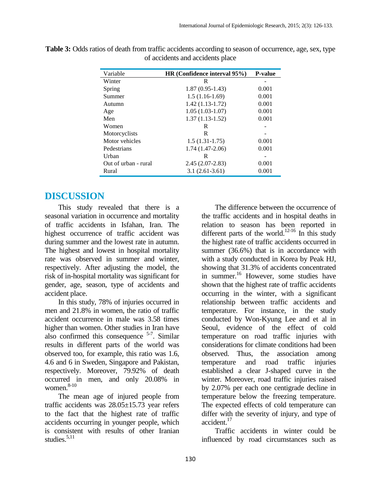| Variable             | HR (Confidence interval 95%) | <b>P-value</b> |
|----------------------|------------------------------|----------------|
| Winter               | R                            |                |
| Spring               | $1.87(0.95-1.43)$            | 0.001          |
| Summer               | $1.5(1.16-1.69)$             | 0.001          |
| Autumn               | $1.42(1.13-1.72)$            | 0.001          |
| Age                  | $1.05(1.03-1.07)$            | 0.001          |
| Men                  | $1.37(1.13-1.52)$            | 0.001          |
| Women                | R                            |                |
| Motorcyclists        | R                            |                |
| Motor vehicles       | $1.5(1.31-1.75)$             | 0.001          |
| Pedestrians          | $1.74(1.47-2.06)$            | 0.001          |
| Urban                | R                            |                |
| Out of urban - rural | $2.45(2.07-2.83)$            | 0.001          |
| Rural                | $3.1(2.61-3.61)$             | 0.001          |

**Table 3:** Odds ratios of death from traffic accidents according to season of occurrence, age, sex, type of accidents and accidents place

# **DISCUSSION**

This study revealed that there is a seasonal variation in occurrence and mortality of traffic accidents in Isfahan, Iran. The highest occurrence of traffic accident was during summer and the lowest rate in autumn. The highest and lowest in hospital mortality rate was observed in summer and winter, respectively. After adjusting the model, the risk of in-hospital mortality was significant for gender, age, season, type of accidents and accident place.

In this study, 78% of injuries occurred in men and 21.8% in women, the ratio of traffic accident occurrence in male was 3.58 times higher than women. Other studies in Iran have also confirmed this consequence  $5-7$ . Similar results in different parts of the world was observed too, for example, this ratio was 1.6, 4.6 and 6 in Sweden, Singapore and Pakistan, respectively. Moreover, 79.92% of death occurred in men, and only 20.08% in women.<sup>8-10</sup>

The mean age of injured people from traffic accidents was 28.05±15.73 year refers to the fact that the highest rate of traffic accidents occurring in younger people, which is consistent with results of other Iranian studies. 5,11

The difference between the occurrence of the traffic accidents and in hospital deaths in relation to season has been reported in different parts of the world.<sup>12-16</sup> In this study the highest rate of traffic accidents occurred in summer (36.6%) that is in accordance with with a study conducted in Korea by Peak HJ, showing that 31.3% of accidents concentrated in summer.<sup>16</sup> However, some studies have shown that the highest rate of traffic accidents occurring in the winter, with a significant relationship between traffic accidents and temperature. For instance, in the study conducted by Won-Kyung Lee and et al in Seoul, evidence of the effect of cold temperature on road traffic injuries with considerations for climate conditions had been observed. Thus, the association among temperature and road traffic injuries established a clear J-shaped curve in the winter. Moreover, road traffic injuries raised by 2.07% per each one centigrade decline in temperature below the freezing temperature. The expected effects of cold temperature can differ with the severity of injury, and type of accident.<sup>17</sup>

Traffic accidents in winter could be influenced by road circumstances such as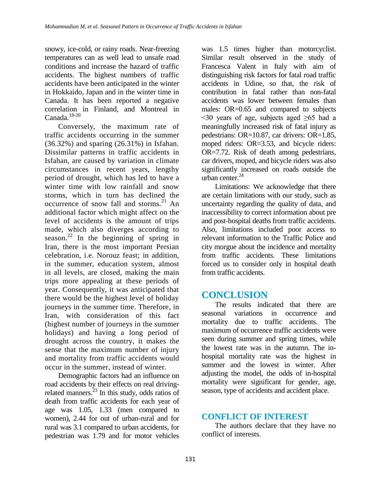snowy, ice-cold, or rainy roads. Near-freezing temperatures can as well lead to unsafe road conditions and increase the hazard of traffic accidents. The highest numbers of traffic accidents have been anticipated in the winter in Hokkaido, Japan and in the winter time in Canada. It has been reported a negative correlation in Finland, and Montreal in Canada. 18-20

Conversely, the maximum rate of traffic accidents occurring in the summer (36.32%) and sparing (26.31%) in Isfahan. Dissimilar patterns in traffic accidents in Isfahan, are caused by variation in climate circumstances in recent years, lengthy period of drought, which has led to have a winter time with low rainfall and snow storms, which in turn has declined the occurrence of snow fall and storms. $21$  An additional factor which might affect on the level of accidents is the amount of trips made, which also diverges according to season.<sup>22</sup> In the beginning of spring in Iran, there is the most important Persian celebration, i.e. Norouz feast; in addition, in the summer, education system, almost in all levels, are closed, making the main trips more appealing at these periods of year. Consequently, it was anticipated that there would be the highest level of holiday journeys in the summer time. Therefore, in Iran, with consideration of this fact (highest number of journeys in the summer holidays) and having a long period of drought across the country, it makes the sense that the maximum number of injury and mortality from traffic accidents would occur in the summer, instead of winter.

Demographic factors had an influence on road accidents by their effects on real drivingrelated manners.<sup>23</sup> In this study, odds ratios of death from traffic accidents for each year of age was 1.05, 1.33 (men compared to women), 2.44 for out of urban-rural and for rural was 3.1 compared to urban accidents, for pedestrian was 1.79 and for motor vehicles

was 1.5 times higher than motorcyclist. Similar result observed in the study of Francesca Valent in Italy with aim of distinguishing risk factors for fatal road traffic accidents in Udine, so that, the risk of contribution in fatal rather than non-fatal accidents was lower between females than males: OR=0.65 and compared to subjects  $\leq$ 30 years of age, subjects aged  $\geq$ 65 had a meaningfully increased risk of fatal injury as pedestrians: OR=10.87, car drivers: OR=1.85, moped riders: OR=3.53, and bicycle riders: OR=7.72. Risk of death among pedestrians, car drivers, moped, and bicycle riders was also significantly increased on roads outside the urban center. 24

Limitations: We acknowledge that there are certain limitations with our study, such as uncertainty regarding the quality of data, and inaccessibility to correct information about pre and post-hospital deaths from traffic accidents. Also, limitations included poor access to relevant information to the Traffic Police and city morgue about the incidence and mortality from traffic accidents. These limitations forced us to consider only in hospital death from traffic accidents.

# **CONCLUSION**

The results indicated that there are seasonal variations in occurrence and mortality due to traffic accidents. The maximum of occurrence traffic accidents were seen during summer and spring times, while the lowest rate was in the autumn. The inhospital mortality rate was the highest in summer and the lowest in winter. After adjusting the model, the odds of in-hospital mortality were significant for gender, age, season, type of accidents and accident place.

### **CONFLICT OF INTEREST**

The authors declare that they have no conflict of interests.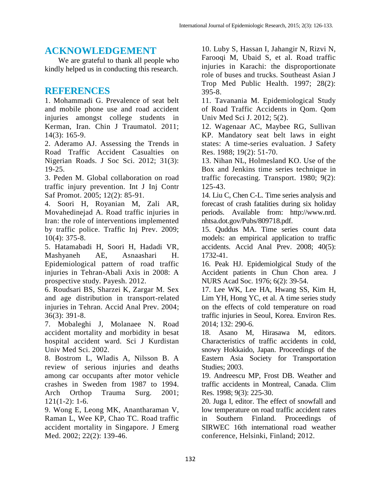### **ACKNOWLEDGEMENT**

We are grateful to thank all people who kindly helped us in conducting this research.

### **REFERENCES**

1. Mohammadi G. Prevalence of seat belt and mobile phone use and road accident injuries amongst college students in Kerman, Iran. Chin J Traumatol. 2011; 14(3): 165-9.

2. Aderamo AJ. Assessing the Trends in Road Traffic Accident Casualties on Nigerian Roads. J Soc Sci. 2012; 31(3): 19-25.

3. Peden M. Global collaboration on road traffic injury prevention. Int J Inj Contr Saf Promot. 2005; 12(2): 85-91.

4. Soori H, Royanian M, Zali AR, Movahedinejad A. Road traffic injuries in Iran: the role of interventions implemented by traffic police. Traffic Inj Prev. 2009; 10(4): 375-8.

5. Hatamabadi H, Soori H, Hadadi VR, Mashyaneh AE, Asnaashari H. Epidemiological pattern of road traffic injuries in Tehran-Abali Axis in 2008: A prospective study. Payesh. 2012.

6. Roudsari BS, Sharzei K, Zargar M. Sex and age distribution in transport-related injuries in Tehran. Accid Anal Prev. 2004; 36(3): 391-8.

7. Mobaleghi J, Molanaee N. Road accident mortality and morbidity in besat hospital accident ward. Sci J Kurdistan Univ Med Sci. 2002.

8. Bostrom L, Wladis A, Nilsson B. A review of serious injuries and deaths among car occupants after motor vehicle crashes in Sweden from 1987 to 1994. Arch Orthop Trauma Surg. 2001; 121(1-2): 1-6.

9. Wong E, Leong MK, Anantharaman V, Raman L, Wee KP, Chao TC. Road traffic accident mortality in Singapore. J Emerg Med. 2002; 22(2): 139-46.

10. Luby S, Hassan I, Jahangir N, Rizvi N, Farooqi M, Ubaid S, et al. Road traffic injuries in Karachi: the disproportionate role of buses and trucks. Southeast Asian J Trop Med Public Health. 1997; 28(2): 395-8.

11. Tavanania M. Epidemiological Study of Road Traffic Accidents in Qom. Qom Univ Med Sci J. 2012; 5(2).

12. Wagenaar AC, Maybee RG, Sullivan KP. Mandatory seat belt laws in eight states: A time-series evaluation. J Safety Res. 1988; 19(2): 51-70.

13. Nihan NL, Holmesland KO. Use of the Box and Jenkins time series technique in traffic forecasting. Transport. 1980; 9(2): 125-43.

14. Liu C, Chen C-L. Time series analysis and forecast of crash fatalities during six holiday periods. Available from: http://www.nrd. nhtsa.dot.gov/Pubs/809718.pdf.

15. Quddus MA. Time series count data models: an empirical application to traffic accidents. Accid Anal Prev. 2008; 40(5): 1732-41.

16. Peak HJ. Epidemiolgical Study of the Accident patients in Chun Chon area. J NURS Acad Soc. 1976; 6(2): 39-54.

17. Lee WK, Lee HA, Hwang SS, Kim H, Lim YH, Hong YC, et al. A time series study on the effects of cold temperature on road traffic injuries in Seoul, Korea. Environ Res. 2014; 132: 290-6.

18. Asano M, Hirasawa M, editors. Characteristics of traffic accidents in cold, snowy Hokkaido, Japan. Proceedings of the Eastern Asia Society for Transportation Studies; 2003.

19. Andreescu MP, Frost DB. Weather and traffic accidents in Montreal, Canada. Clim Res. 1998; 9(3): 225-30.

20. Juga I, editor. The effect of snowfall and low temperature on road traffic accident rates in Southern Finland. Proceedings of SIRWEC 16th international road weather conference, Helsinki, Finland; 2012.